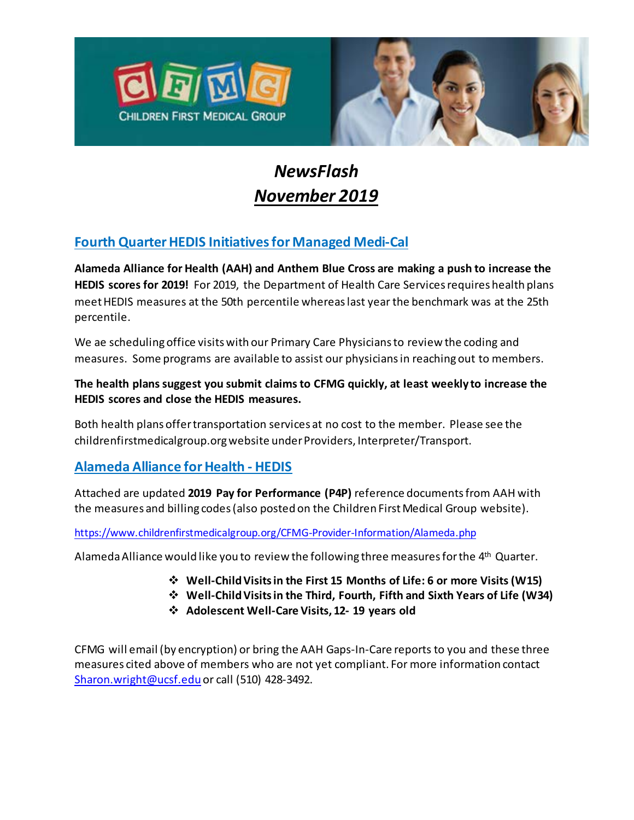



# *NewsFlash November 2019*

## **Fourth Quarter HEDIS Initiatives for Managed Medi-Cal**

**Alameda Alliance for Health (AAH) and Anthem Blue Cross are making a push to increase the HEDIS scores for 2019!** For 2019, the Department of Health Care Services requires health plans meet HEDIS measures at the 50th percentile whereas last year the benchmark was at the 25th percentile.

We ae scheduling office visits with our Primary Care Physicians to review the coding and measures. Some programs are available to assist our physicians in reaching out to members.

#### **The health plans suggest you submit claims to CFMG quickly, at least weekly to increase the HEDIS scores and close the HEDIS measures.**

Both health plans offer transportation services at no cost to the member. Please see the childrenfirstmedicalgroup.org website under Providers, Interpreter/Transport.

#### **Alameda Alliance for Health - HEDIS**

Attached are updated **2019 Pay for Performance (P4P)** reference documents from AAH with the measures and billing codes (also posted on the Children First Medical Group website).

<https://www.childrenfirstmedicalgroup.org/CFMG-Provider-Information/Alameda.php>

Alameda Alliance would like you to review the following three measures for the  $4<sup>th</sup>$  Quarter.

- **Well-Child Visits in the First 15 Months of Life: 6 or more Visits(W15)**
- **Well-Child Visits in the Third, Fourth, Fifth and Sixth Years of Life (W34)**
- **Adolescent Well-Care Visits, 12- 19 years old**

CFMG will email (by encryption) or bring the AAH Gaps-In-Care reports to you and these three measures cited above of members who are not yet compliant. For more information contact [Sharon.wright@ucsf.edu](mailto:Sharon.wright@ucsf.edu) or call (510) 428-3492.